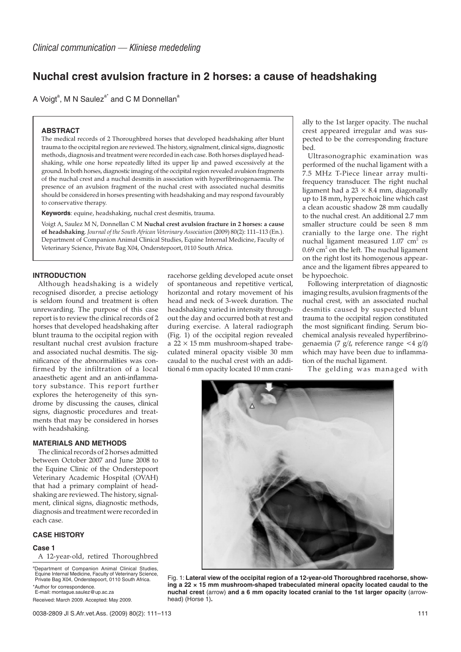# **Nuchal crest avulsion fracture in 2 horses: a cause of headshaking**

A Voigt<sup>a</sup>, M N Saulez<sup>a\*</sup> and C M Donnellan<sup>a</sup>

# **ABSTRACT**

The medical records of 2 Thoroughbred horses that developed headshaking after blunt trauma to the occipital region are reviewed. The history, signalment, clinical signs, diagnostic methods, diagnosis and treatment were recorded in each case. Both horses displayed headshaking, while one horse repeatedly lifted its upper lip and pawed excessively at the ground. In both horses, diagnostic imaging of the occipital region revealed avulsion fragments of the nuchal crest and a nuchal desmitis in association with hyperfibrinogenaemia. The presence of an avulsion fragment of the nuchal crest with associated nuchal desmitis should be considered in horses presenting with headshaking and may respond favourably to conservative therapy.

**Keywords**: equine, headshaking, nuchal crest desmitis, trauma.

Voigt A, Saulez M N, Donnellan C M **Nuchal crest avulsion fracture in 2 horses: a cause of headshaking**. *Journal of the South African Veterinary Association* (2009) 80(2): 111–113 (En.). Department of Companion Animal Clinical Studies, Equine Internal Medicine, Faculty of Veterinary Science, Private Bag X04, Onderstepoort, 0110 South Africa.

# **INTRODUCTION**

Although headshaking is a widely recognised disorder, a precise aetiology is seldom found and treatment is often unrewarding. The purpose of this case report is to review the clinical records of 2 horses that developed headshaking after blunt trauma to the occipital region with resultant nuchal crest avulsion fracture and associated nuchal desmitis. The significance of the abnormalities was confirmed by the infiltration of a local anaesthetic agent and an anti-inflammatory substance. This report further explores the heterogeneity of this syndrome by discussing the causes, clinical signs, diagnostic procedures and treatments that may be considered in horses with headshaking.

## **MATERIALS AND METHODS**

The clinical records of 2 horses admitted between October 2007 and June 2008 to the Equine Clinic of the Onderstepoort Veterinary Academic Hospital (OVAH) that had a primary complaint of headshaking are reviewed. The history, signalment, clinical signs, diagnostic methods, diagnosis and treatment were recorded in each case.

# **CASE HISTORY**

#### **Case 1**

A 12-year-old, retired Thoroughbred

a Department of Companion Animal Clinical Studies, Equine Internal Medicine, Faculty of Veterinary Science, Private Bag X04, Onderstepoort, 0110 South Africa.

\*Author for correspondence. E-mail: montague.saulez@up.ac.za

Received: March 2009. Accepted: May 2009.

racehorse gelding developed acute onset of spontaneous and repetitive vertical, horizontal and rotary movement of his head and neck of 3-week duration. The headshaking varied in intensity throughout the day and occurred both at rest and during exercise. A lateral radiograph (Fig. 1) of the occipital region revealed a  $22 \times 15$  mm mushroom-shaped trabeculated mineral opacity visible 30 mm caudal to the nuchal crest with an additional 6 mm opacity located 10 mm cranially to the 1st larger opacity. The nuchal crest appeared irregular and was suspected to be the corresponding fracture bed.

Ultrasonographic examination was performed of the nuchal ligament with a 7.5 MHz T-Piece linear array multifrequency transducer. The right nuchal ligament had a  $23 \times 8.4$  mm, diagonally up to 18 mm, hyperechoic line which cast a clean acoustic shadow 28 mm caudally to the nuchal crest. An additional 2.7 mm smaller structure could be seen 8 mm cranially to the large one. The right nuchal ligament measured 1.07 cm<sup>2</sup> *vs*  $0.69$  cm<sup>2</sup> on the left. The nuchal ligament on the right lost its homogenous appearance and the ligament fibres appeared to be hypoechoic.

Following interpretation of diagnostic imaging results, avulsion fragments of the nuchal crest, with an associated nuchal desmitis caused by suspected blunt trauma to the occipital region constituted the most significant finding. Serum biochemical analysis revealed hyperfibrinogenaemia (7 g/l, reference range  $\langle 4 \text{ g}/4 \rangle$ which may have been due to inflammation of the nuchal ligament.

The gelding was managed with



Fig. 1: **Lateral view of the occipital region of a 12-year-old Thoroughbred racehorse, showing a 22 × 15 mm mushroom-shaped trabeculated mineral opacity located caudal to the nuchal crest** (arrow) **and a 6 mm opacity located cranial to the 1st larger opacity** (arrowhead) (Horse 1)**.**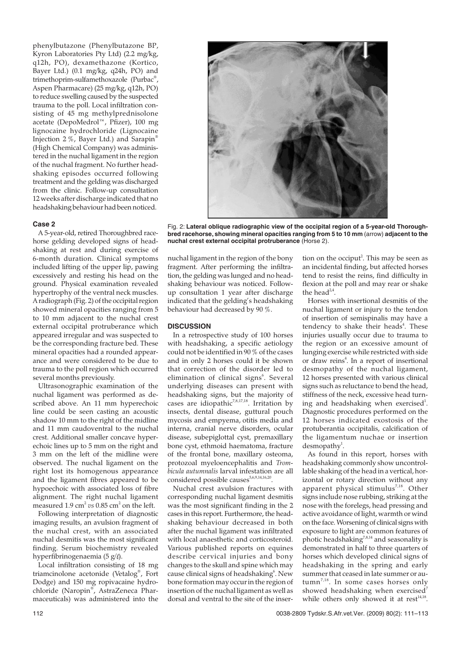phenylbutazone (Phenylbutazone BP, Kyron Laboratories Pty Ltd) (2.2 mg/kg, q12h, PO), dexamethazone (Kortico, Bayer Ltd.) (0.1 mg/kg, q24h, PO) and trimethoprim-sulfamethoxazole (Purbac® , Aspen Pharmacare) (25 mg/kg, q12h, PO) to reduce swelling caused by the suspected trauma to the poll. Local infiltration consisting of 45 mg methylprednisolone acetate (DepoMedrol™, Pfizer), 100 mg lignocaine hydrochloride (Lignocaine Injection 2 %, Bayer Ltd.) and Sarapin® (High Chemical Company) was administered in the nuchal ligament in the region of the nuchal fragment. No further headshaking episodes occurred following treatment and the gelding was discharged from the clinic. Follow-up consultation 12 weeks after discharge indicated that no headshaking behaviour had been noticed.

## **Case 2**

A 5-year-old, retired Thoroughbred racehorse gelding developed signs of headshaking at rest and during exercise of 6-month duration. Clinical symptoms included lifting of the upper lip, pawing excessively and resting his head on the ground. Physical examination revealed hypertrophy of the ventral neck muscles. A radiograph (Fig. 2) of the occipital region showed mineral opacities ranging from 5 to 10 mm adjacent to the nuchal crest external occipital protruberance which appeared irregular and was suspected to be the corresponding fracture bed. These mineral opacities had a rounded appearance and were considered to be due to trauma to the poll region which occurred several months previously.

Ultrasonographic examination of the nuchal ligament was performed as described above. An 11 mm hyperechoic line could be seen casting an acoustic shadow 10 mm to the right of the midline and 11 mm caudoventral to the nuchal crest. Additional smaller concave hyperechoic lines up to 5 mm on the right and 3 mm on the left of the midline were observed. The nuchal ligament on the right lost its homogenous appearance and the ligament fibres appeared to be hypoechoic with associated loss of fibre alignment. The right nuchal ligament measured 1.9 cm<sup>2</sup> vs 0.85 cm<sup>2</sup> on the left.

Following interpretation of diagnostic imaging results, an avulsion fragment of the nuchal crest, with an associated nuchal desmitis was the most significant finding. Serum biochemistry revealed hyperfibrinogenaemia (5 g/ $\ell$ ).

Local infiltration consisting of 18 mg triamcinolone acetonide (Vetalog® , Fort Dodge) and 150 mg ropivacaine hydrochloride (Naropin® , AstraZeneca Pharmaceuticals) was administered into the

Fig. 2: **Lateral oblique radiographic view of the occipital region of a 5-year-old Thoroughbred racehorse, showing mineral opacities ranging from 5 to 10 mm** (arrow) **adjacent to the nuchal crest external occipital protruberance** (Horse 2).

nuchal ligament in the region of the bony fragment. After performing the infiltration, the gelding was lunged and no headshaking behaviour was noticed. Followup consultation 1 year after discharge indicated that the gelding's headshaking behaviour had decreased by 90 %.

# **DISCUSSION**

In a retrospective study of 100 horses with headshaking, a specific aetiology could not be identified in 90 % of the cases and in only 2 horses could it be shown that correction of the disorder led to elimination of clinical signs<sup>6</sup>. Several underlying diseases can present with headshaking signs, but the majority of cases are idiopathic<sup>7,8,17,18</sup>. Irritation by insects, dental disease, guttural pouch mycosis and empyema, otitis media and interna, cranial nerve disorders, ocular disease, subepiglottal cyst, premaxillary bone cyst, ethmoid haematoma, fracture of the frontal bone, maxillary osteoma, protozoal myeloencephalitis and *Trombicula autumnalis* larval infestation are all considered possible causes<sup>5,6,9,14,16,20</sup>

Nuchal crest avulsion fractures with corresponding nuchal ligament desmitis was the most significant finding in the 2 cases in this report. Furthermore, the headshaking behaviour decreased in both after the nuchal ligament was infiltrated with local anaesthetic and corticosteroid. Various published reports on equines describe cervical injuries and bony changes to the skull and spine which may cause clinical signs of headshaking<sup>6</sup>. New bone formation may occur in the region of insertion of the nuchal ligament as well as dorsal and ventral to the site of the inser-

tion on the occiput<sup>2</sup>. This may be seen as an incidental finding, but affected horses tend to resist the reins, find difficulty in flexion at the poll and may rear or shake the head $2,4$ .

Horses with insertional desmitis of the nuchal ligament or injury to the tendon of insertion of semispinalis may have a tendency to shake their heads<sup>4</sup>. These injuries usually occur due to trauma to the region or an excessive amount of lunging exercise while restricted with side or draw reins<sup>4</sup>. In a report of insertional desmopathy of the nuchal ligament, 12 horses presented with various clinical signs such as reluctance to bend the head, stiffness of the neck, excessive head turning and headshaking when exercised $^{\rm 1}.$ Diagnostic procedures performed on the 12 horses indicated exostosis of the protuberantia occipitalis, calcification of the ligamentum nuchae or insertion  $d$ esmopathy<sup>1</sup>.

As found in this report, horses with headshaking commonly show uncontrollable shaking of the head in a vertical, horizontal or rotary direction without any apparent physical stimulus<sup>7,18</sup>. Other signs include nose rubbing, striking at the nose with the forelegs, head pressing and active avoidance of light, warmth or wind on the face. Worsening of clinical signs with exposure to light are common features of photic headshaking<sup>7,8,14</sup> and seasonality is demonstrated in half to three quarters of horses which developed clinical signs of headshaking in the spring and early summer that ceased in late summer or au $tumm<sup>7,18</sup>$ . In some cases horses only showed headshaking when exercised<sup>7</sup> while others only showed it at rest $14,18$ .